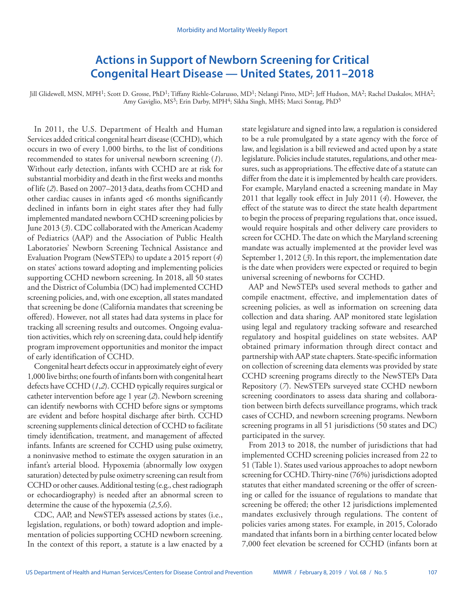# **Actions in Support of Newborn Screening for Critical Congenital Heart Disease — United States, 2011–2018**

Jill Glidewell, MSN, MPH<sup>1</sup>; Scott D. Grosse, PhD<sup>1</sup>; Tiffany Riehle-Colarusso, MD<sup>1</sup>; Nelangi Pinto, MD<sup>2</sup>; Jeff Hudson, MA<sup>2</sup>; Rachel Daskalov, MHA<sup>2</sup>; Amy Gaviglio, MS<sup>3</sup>; Erin Darby, MPH<sup>4</sup>; Sikha Singh, MHS; Marci Sontag, PhD<sup>5</sup>

In 2011, the U.S. Department of Health and Human Services added critical congenital heart disease (CCHD), which occurs in two of every 1,000 births, to the list of conditions recommended to states for universal newborn screening (*1*). Without early detection, infants with CCHD are at risk for substantial morbidity and death in the first weeks and months of life (*2*). Based on 2007–2013 data, deaths from CCHD and other cardiac causes in infants aged <6 months significantly declined in infants born in eight states after they had fully implemented mandated newborn CCHD screening policies by June 2013 (*3*). CDC collaborated with the American Academy of Pediatrics (AAP) and the Association of Public Health Laboratories' Newborn Screening Technical Assistance and Evaluation Program (NewSTEPs) to update a 2015 report (*4*) on states' actions toward adopting and implementing policies supporting CCHD newborn screening. In 2018, all 50 states and the District of Columbia (DC) had implemented CCHD screening policies, and, with one exception, all states mandated that screening be done (California mandates that screening be offered). However, not all states had data systems in place for tracking all screening results and outcomes. Ongoing evaluation activities, which rely on screening data, could help identify program improvement opportunities and monitor the impact of early identification of CCHD.

Congenital heart defects occur in approximately eight of every 1,000 live births; one fourth of infants born with congenital heart defects have CCHD (*1*,*2*). CCHD typically requires surgical or catheter intervention before age 1 year (*2*). Newborn screening can identify newborns with CCHD before signs or symptoms are evident and before hospital discharge after birth. CCHD screening supplements clinical detection of CCHD to facilitate timely identification, treatment, and management of affected infants. Infants are screened for CCHD using pulse oximetry, a noninvasive method to estimate the oxygen saturation in an infant's arterial blood. Hypoxemia (abnormally low oxygen saturation) detected by pulse oximetry screening can result from CCHD or other causes. Additional testing (e.g., chest radiograph or echocardiography) is needed after an abnormal screen to determine the cause of the hypoxemia (*2*,*5*,*6*).

CDC, AAP, and NewSTEPs assessed actions by states (i.e., legislation, regulations, or both) toward adoption and implementation of policies supporting CCHD newborn screening. In the context of this report, a statute is a law enacted by a state legislature and signed into law, a regulation is considered to be a rule promulgated by a state agency with the force of law, and legislation is a bill reviewed and acted upon by a state legislature. Policies include statutes, regulations, and other measures, such as appropriations. The effective date of a statute can differ from the date it is implemented by health care providers. For example, Maryland enacted a screening mandate in May 2011 that legally took effect in July 2011 (*4*). However, the effect of the statute was to direct the state health department to begin the process of preparing regulations that, once issued, would require hospitals and other delivery care providers to screen for CCHD. The date on which the Maryland screening mandate was actually implemented at the provider level was September 1, 2012 (3). In this report, the implementation date is the date when providers were expected or required to begin universal screening of newborns for CCHD.

AAP and NewSTEPs used several methods to gather and compile enactment, effective, and implementation dates of screening policies, as well as information on screening data collection and data sharing. AAP monitored state legislation using legal and regulatory tracking software and researched regulatory and hospital guidelines on state websites. AAP obtained primary information through direct contact and partnership with AAP state chapters. State-specific information on collection of screening data elements was provided by state CCHD screening programs directly to the NewSTEPs Data Repository (*7*). NewSTEPs surveyed state CCHD newborn screening coordinators to assess data sharing and collaboration between birth defects surveillance programs, which track cases of CCHD, and newborn screening programs. Newborn screening programs in all 51 jurisdictions (50 states and DC) participated in the survey.

From 2013 to 2018, the number of jurisdictions that had implemented CCHD screening policies increased from 22 to 51 (Table 1). States used various approaches to adopt newborn screening for CCHD. Thirty-nine (76%) jurisdictions adopted statutes that either mandated screening or the offer of screening or called for the issuance of regulations to mandate that screening be offered; the other 12 jurisdictions implemented mandates exclusively through regulations. The content of policies varies among states. For example, in 2015, Colorado mandated that infants born in a birthing center located below 7,000 feet elevation be screened for CCHD (infants born at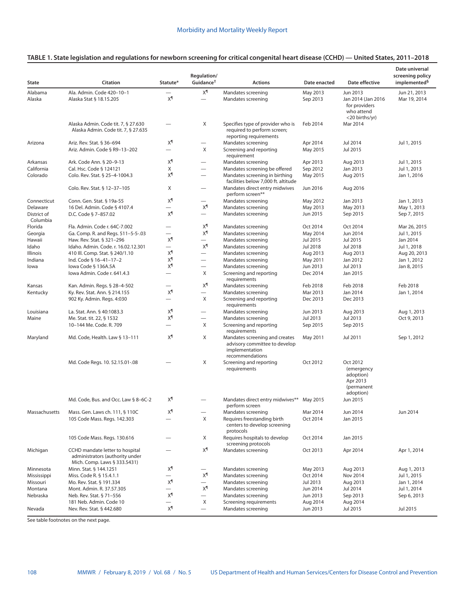|                         | Citation                                                                                           | Statute*                 | Regulation/<br>Guidance <sup>+</sup>  |                                                                                                      | Date enacted         | Date effective                                                                  | Date universal<br>screening policy<br>implemented <sup>§</sup> |
|-------------------------|----------------------------------------------------------------------------------------------------|--------------------------|---------------------------------------|------------------------------------------------------------------------------------------------------|----------------------|---------------------------------------------------------------------------------|----------------------------------------------------------------|
| <b>State</b>            |                                                                                                    |                          |                                       | <b>Actions</b>                                                                                       |                      |                                                                                 |                                                                |
| Alabama<br>Alaska       | Ala. Admin. Code 420-10-1<br>Alaska Stat § 18.15.205                                               | χ¶                       | χ¶<br>$\overbrace{\phantom{1232211}}$ | Mandates screening<br>Mandates screening                                                             | May 2013<br>Sep 2013 | Jun 2013<br>Jan 2014 (Jan 2016<br>for providers<br>who attend<br><20 births/yr) | Jun 21, 2013<br>Mar 19, 2014                                   |
|                         | Alaska Admin. Code tit. 7, § 27.630<br>Alaska Admin. Code tit. 7, § 27.635                         |                          | X                                     | Specifies type of provider who is<br>required to perform screen;<br>reporting requirements           | Feb 2014             | Mar 2014                                                                        |                                                                |
| Arizona                 | Ariz. Rev. Stat. § 36-694                                                                          | χ¶                       | $\overline{\phantom{0}}$              | Mandates screening                                                                                   | Apr 2014             | Jul 2014                                                                        | Jul 1, 2015                                                    |
|                         | Ariz. Admin. Code § R9-13-202                                                                      | $\overline{\phantom{0}}$ | X                                     | Screening and reporting<br>requirement                                                               | May 2015             | Jul 2015                                                                        |                                                                |
| Arkansas                | Ark. Code Ann. § 20-9-13                                                                           | $X^{\P}$                 | $\overline{\phantom{0}}$              | Mandates screening                                                                                   | Apr 2013             | Aug 2013                                                                        | Jul 1, 2015                                                    |
| California              | Cal. Hsc. Code § 124121                                                                            | X                        | $\overline{\phantom{0}}$              | Mandates screening be offered                                                                        | Sep 2012             | Jan 2013                                                                        | Jul 1, 2013                                                    |
| Colorado                | Colo. Rev. Stat. § 25-4-1004.3                                                                     | χ¶                       | $\overline{\phantom{0}}$              | Mandates screening in birthing<br>facilities below 7,000 ft. altitude                                | May 2015             | Aug 2015                                                                        | Jan 1, 2016                                                    |
|                         | Colo. Rev. Stat. § 12-37-105                                                                       | Χ                        | $\overline{\phantom{0}}$              | Mandates direct entry midwives<br>perform screen**                                                   | Jun 2016             | Aug 2016                                                                        |                                                                |
| Connecticut             | Conn. Gen. Stat. § 19a-55                                                                          | χ¶                       | $\overline{\phantom{0}}$              | Mandates screening                                                                                   | May 2012             | Jan 2013                                                                        | Jan 1, 2013                                                    |
| Delaware                | 16 Del. Admin. Code § 4107.4                                                                       | $\overline{\phantom{0}}$ | χ¶                                    | Mandates screening                                                                                   | May 2013             | May 2013                                                                        | May 1, 2013                                                    |
| District of<br>Columbia | D.C. Code § 7-857.02                                                                               | χ¶                       | $\overline{\phantom{0}}$              | Mandates screening                                                                                   | Jun 2015             | Sep 2015                                                                        | Sep 7, 2015                                                    |
| Florida                 | Fla. Admin. Code r. 64C-7.002                                                                      | -                        | χ¶                                    | Mandates screening                                                                                   | Oct 2014             | Oct 2014                                                                        | Mar 26, 2015                                                   |
| Georgia                 | Ga. Comp. R. and Regs. 511-5-5-.03                                                                 | $\overline{\phantom{0}}$ | χ¶                                    | Mandates screening                                                                                   | May 2014             | Jun 2014                                                                        | Jul 1, 2015                                                    |
| Hawaii                  | Haw. Rev. Stat. § 321-296                                                                          | χ¶                       | $\overline{\phantom{0}}$              | Mandates screening                                                                                   | Jul 2015             | Jul 2015                                                                        | Jan 2014                                                       |
| Idaho                   | Idaho. Admin. Code. r. 16.02.12.301                                                                | $\overline{\phantom{0}}$ | χ¶                                    | Mandates screening                                                                                   | Jul 2018             | Jul 2018                                                                        | Jul 1, 2018                                                    |
| Illinois                | 410 III. Comp. Stat. § 240/1.10                                                                    | χ¶                       | $\overbrace{\phantom{1232211}}$       | Mandates screening                                                                                   | Aug 2013             | Aug 2013                                                                        | Aug 20, 2013                                                   |
| Indiana                 | Ind. Code § 16-41-17-2                                                                             | χ¶                       | $\qquad \qquad -$                     | Mandates screening                                                                                   | May 2011             | Jan 2012                                                                        | Jan 1, 2012                                                    |
| lowa                    | lowa Code § 136A.5A                                                                                | χ¶                       | $\qquad \qquad$                       | Mandates screening                                                                                   | Jun 2013             | Jul 2013                                                                        | Jan 8, 2015                                                    |
|                         | Iowa Admin. Code r. 641.4.3                                                                        | $\qquad \qquad$          | Χ                                     | Screening and reporting<br>requirements                                                              | Dec 2014             | Jan 2015                                                                        |                                                                |
| Kansas                  | Kan. Admin. Regs. § 28-4-502                                                                       |                          | χ¶                                    | Mandates screening                                                                                   | Feb 2018             | Feb 2018                                                                        | Feb 2018                                                       |
| Kentucky                | Ky. Rev. Stat. Ann. § 214.155                                                                      | χ¶                       |                                       | Mandates screening                                                                                   | Mar 2013             | Jan 2014                                                                        | Jan 1, 2014                                                    |
|                         | 902 Ky. Admin. Regs. 4:030                                                                         | $\overline{\phantom{0}}$ | Χ                                     | Screening and reporting<br>requirements                                                              | Dec 2013             | Dec 2013                                                                        |                                                                |
| Louisiana               | La. Stat. Ann. § 40:1083.3                                                                         | χ¶                       | $\qquad \qquad -$                     | Mandates screening                                                                                   | Jun 2013             | Aug 2013                                                                        | Aug 1, 2013                                                    |
| Maine                   | Me. Stat. tit. 22, § 1532                                                                          | χ¶                       | $\overline{\phantom{0}}$              | Mandates screening                                                                                   | Jul 2013             | Jul 2013                                                                        | Oct 9, 2013                                                    |
|                         | 10-144 Me. Code. R. 709                                                                            | $\overline{\phantom{0}}$ | Χ                                     | Screening and reporting<br>requirements                                                              | Sep 2015             | Sep 2015                                                                        |                                                                |
| Maryland                | Md. Code, Health. Law § 13-111                                                                     | χ¶                       | Χ                                     | Mandates screening and creates<br>advisory committee to develop<br>implementation<br>recommendations | May 2011             | Jul 2011                                                                        | Sep 1, 2012                                                    |
|                         | Md. Code Regs. 10. 52.15.01-.08                                                                    |                          | X                                     | Screening and reporting<br>requirements                                                              | Oct 2012             | Oct 2012<br>(emergency<br>adoption)<br>Apr 2013<br>(permanent<br>adoption)      |                                                                |
|                         | Md. Code, Bus. and Occ. Law § 8-6C-2                                                               | χ¶                       |                                       | Mandates direct entry midwives** May 2015<br>perform screen                                          |                      | Jun 2015                                                                        |                                                                |
| Massachusetts           | Mass. Gen. Laws ch. 111, § 110C                                                                    | χ¶                       | $\qquad \qquad$                       | Mandates screening                                                                                   | Mar 2014             | Jun 2014                                                                        | Jun 2014                                                       |
|                         | 105 Code Mass. Regs. 142.303                                                                       |                          | X                                     | Requires freestanding birth<br>centers to develop screening<br>protocols                             | Oct 2014             | Jan 2015                                                                        |                                                                |
|                         | 105 Code Mass. Regs. 130.616                                                                       |                          | X                                     | Requires hospitals to develop<br>screening protocols                                                 | Oct 2014             | Jan 2015                                                                        |                                                                |
| Michigan                | CCHD mandate letter to hospital<br>administrators (authority under<br>Mich. Comp. Laws § 333.5431) |                          | χ¶                                    | Mandates screening                                                                                   | Oct 2013             | Apr 2014                                                                        | Apr 1, 2014                                                    |
| Minnesota               | Minn. Stat. § 144.1251                                                                             | χ¶                       | $\qquad \qquad -$                     | Mandates screening                                                                                   | May 2013             | Aug 2013                                                                        | Aug 1, 2013                                                    |
| Mississippi             | Miss. Code R. § 15.4.1.1                                                                           |                          | χ¶                                    | Mandates screening                                                                                   | Oct 2014             | Nov 2014                                                                        | Jul 1, 2015                                                    |
| Missouri                | Mo. Rev. Stat. § 191.334                                                                           | χ¶                       |                                       | Mandates screening                                                                                   | Jul 2013             | Aug 2013                                                                        | Jan 1, 2014                                                    |
| Montana                 | Mont. Admin. R. 37.57.305                                                                          | $\qquad \qquad$          | χ¶                                    | Mandates screening                                                                                   | Jun 2014             | Jul 2014                                                                        | Jul 1, 2014                                                    |
| Nebraska                | Neb. Rev. Stat. § 71-556                                                                           | χ¶                       |                                       | Mandates screening                                                                                   | Jun 2013             | Sep 2013                                                                        | Sep 6, 2013                                                    |
|                         | 181 Neb. Admin. Code 10                                                                            | $\overline{\phantom{0}}$ | X                                     | Screening requirements                                                                               | Aug 2014             | Aug 2014                                                                        |                                                                |
| Nevada                  | Nev. Rev. Stat. § 442.680                                                                          | χ¶                       | $\overline{\phantom{0}}$              | Mandates screening                                                                                   | Jun 2013             | Jul 2015                                                                        | Jul 2015                                                       |

# **TABLE 1. State legislation and regulations for newborn screening for critical congenital heart disease (CCHD) — United States, 2011–2018**

See table footnotes on the next page.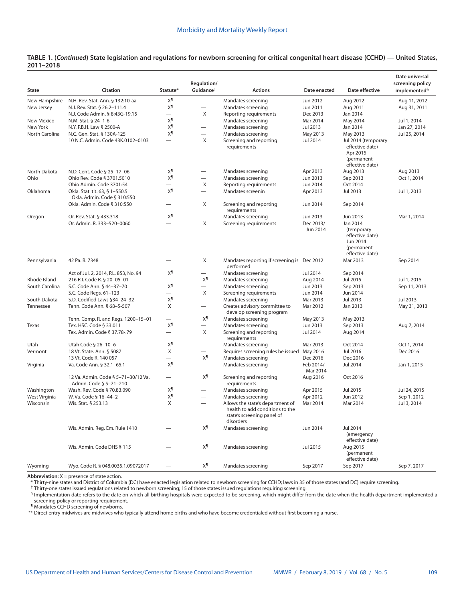# **TABLE 1. (***Continued***) State legislation and regulations for newborn screening for critical congenital heart disease (CCHD) — United States, 2011–2018**

|                |                                                               |                          | Regulation/                       |                                                                                                                |                       |                                                                                        | Date universal<br>screening policy |
|----------------|---------------------------------------------------------------|--------------------------|-----------------------------------|----------------------------------------------------------------------------------------------------------------|-----------------------|----------------------------------------------------------------------------------------|------------------------------------|
| State          | Citation                                                      | Statute*                 | Guidance <sup>+</sup>             | <b>Actions</b>                                                                                                 | Date enacted          | Date effective                                                                         | implemented <sup>§</sup>           |
| New Hampshire  | N.H. Rev. Stat. Ann. § 132:10-aa                              | χ¶                       | $\equiv$                          | Mandates screening                                                                                             | Jun 2012              | Aug 2012                                                                               | Aug 11, 2012                       |
| New Jersey     | N.J. Rev. Stat. § 26:2-111.4                                  | χ¶                       | $\equiv$                          | Mandates screening                                                                                             | Jun 2011              | Aug 2011                                                                               | Aug 31, 2011                       |
|                | N.J. Code Admin. § 8:43G-19.15                                | $\overline{\phantom{0}}$ | X                                 | Reporting requirements                                                                                         | Dec 2013              | Jan 2014                                                                               |                                    |
| New Mexico     | N.M. Stat. § 24-1-6                                           | χ¶                       |                                   | Mandates screening                                                                                             | Mar 2014              | May 2014                                                                               | Jul 1, 2014                        |
| New York       | N.Y. P.B.H. Law § 2500-A                                      | χ¶                       |                                   | Mandates screening                                                                                             | Jul 2013              | Jan 2014                                                                               | Jan 27, 2014                       |
| North Carolina | N.C. Gen. Stat. § 130A-125                                    | χ¶                       | $\overbrace{\phantom{123221111}}$ | Mandates screening                                                                                             | May 2013              | May 2013                                                                               | Jul 25, 2014                       |
|                | 10 N.C. Admin. Code 43K.0102-0103                             | $\overline{\phantom{0}}$ | X                                 | Screening and reporting<br>requirements                                                                        | Jul 2014              | Jul 2014 (temporary<br>effective date)<br>Apr 2015<br>(permanent<br>effective date)    |                                    |
| North Dakota   | N.D. Cent. Code § 25-17-06                                    | χ¶                       | $\overline{\phantom{0}}$          | Mandates screening                                                                                             | Apr 2013              | Aug 2013                                                                               | Aug 2013                           |
| Ohio           | Ohio Rev. Code § 3701.5010                                    | χ¶                       | $\equiv$                          | Mandates screening                                                                                             | Jun 2013              | Sep 2013                                                                               | Oct 1, 2014                        |
|                | Ohio Admin. Code 3701:54                                      | $\overline{\phantom{0}}$ | X                                 | Reporting requirements                                                                                         | Jun 2014              | Oct 2014                                                                               |                                    |
| Oklahoma       | Okla. Stat. tit. 63, § 1-550.5<br>Okla. Admin. Code § 310:550 | χ¶                       | $\overline{\phantom{0}}$          | Mandates screenin                                                                                              | Apr 2013              | Jul 2013                                                                               | Jul 1, 2013                        |
|                | Okla. Admin. Code § 310:550                                   | $\overline{\phantom{0}}$ | Χ                                 | Screening and reporting<br>requirements                                                                        | Jun 2014              | Sep 2014                                                                               |                                    |
| Oregon         | Or. Rev. Stat. § 433.318                                      | χ¶                       | $\overline{\phantom{0}}$          | Mandates screening                                                                                             | Jun 2013              | Jun 2013                                                                               | Mar 1, 2014                        |
|                | Or. Admin. R. 333-520-0060                                    | $\overline{\phantom{0}}$ | X                                 | Screening requirements                                                                                         | Dec 2013/<br>Jun 2014 | Jan 2014<br>(temporary<br>effective date)<br>Jun 2014<br>(permanent<br>effective date) |                                    |
| Pennsylvania   | 42 Pa. B. 7348                                                |                          | Χ                                 | Mandates reporting if screening is Dec 2012<br>performed                                                       |                       | Mar 2013                                                                               | Sep 2014                           |
|                | Act of Jul. 2, 2014, P.L. 853, No. 94                         | χ¶                       |                                   | Mandates screening                                                                                             | Jul 2014              | Sep 2014                                                                               |                                    |
| Rhode Island   | 216 R.I. Code R. § 20-05-01                                   |                          | $X^{\P}$                          | Mandates screening                                                                                             | Aug 2014              | Jul 2015                                                                               | Jul 1, 2015                        |
| South Carolina | S.C. Code Ann. § 44-37-70                                     | χ¶                       |                                   | Mandates screening                                                                                             | Jun 2013              | Sep 2013                                                                               | Sep 11, 2013                       |
|                | S.C. Code Regs. 61-123                                        |                          | X                                 | Screening requirements                                                                                         | Jun 2014              | Jun 2014                                                                               |                                    |
| South Dakota   | S.D. Codified Laws §34-24-32                                  | χ¶                       |                                   | Mandates screening                                                                                             | Mar 2013              | Jul 2013                                                                               | Jul 2013                           |
| Tennessee      | Tenn. Code Ann. § 68-5-507                                    | X                        | $\overline{\phantom{0}}$          | Creates advisory committee to<br>develop screening program                                                     | Mar 2012              | Jan 2013                                                                               | May 31, 2013                       |
|                | Tenn. Comp. R. and Regs. 1200-15-01                           |                          | χ¶                                | Mandates screening                                                                                             | May 2013              | May 2013                                                                               |                                    |
| Texas          | Tex. HSC. Code § 33.011                                       | χ¶                       | $\overline{\phantom{0}}$          | Mandates screening                                                                                             | Jun 2013              | Sep 2013                                                                               | Aug 7, 2014                        |
|                | Tex. Admin. Code § 37.78-.79                                  | $\overline{\phantom{0}}$ | X                                 | Screening and reporting<br>requirements                                                                        | Jul 2014              | Aug 2014                                                                               |                                    |
| Utah           | Utah Code § 26-10-6                                           | χ¶                       | $\overbrace{\phantom{12322111}}$  | Mandates screening                                                                                             | Mar 2013              | Oct 2014                                                                               | Oct 1, 2014                        |
| Vermont        | 18 Vt. State. Ann. § 5087                                     | X                        | $\overline{\phantom{0}}$          | Requires screening rules be issued                                                                             | May 2016              | Jul 2016                                                                               | Dec 2016                           |
|                | 13 Vt. Code R. 140 057                                        |                          | χ¶                                | Mandates screening                                                                                             | Dec 2016              | Dec 2016                                                                               |                                    |
| Virginia       | Va. Code Ann. § 32.1-65.1                                     | χ¶                       |                                   | Mandates screening                                                                                             | Feb 2014/<br>Mar 2014 | Jul 2014                                                                               | Jan 1, 2015                        |
|                | 12 Va. Admin. Code § 5-71-30/12 Va.<br>Admin. Code § 5-71-210 | $\overline{\phantom{0}}$ | χ¶                                | Screening and reporting<br>requirements                                                                        | Aug 2016              | Oct 2016                                                                               |                                    |
| Washington     | Wash. Rev. Code § 70.83.090                                   | χ¶                       | $\overline{\phantom{0}}$          | Mandates screening                                                                                             | Apr 2015              | Jul 2015                                                                               | Jul 24, 2015                       |
| West Virginia  | W. Va. Code § 16-44-2                                         | χ¶                       | $\overline{\phantom{0}}$          | Mandates screening                                                                                             | Apr 2012              | Jun 2012                                                                               | Sep 1, 2012                        |
| Wisconsin      | Wis. Stat. § 253.13                                           | X                        |                                   | Allows the state's department of<br>health to add conditions to the<br>state's screening panel of<br>disorders | Mar 2014              | Mar 2014                                                                               | Jul 3, 2014                        |
|                | Wis. Admin. Reg. Em. Rule 1410                                |                          | χ¶                                | Mandates screening                                                                                             | Jun 2014              | Jul 2014<br>(emergency<br>effective date)                                              |                                    |
|                | Wis. Admin. Code DHS § 115                                    |                          | χ¶                                | Mandates screening                                                                                             | Jul 2015              | Aug 2015<br>(permanent<br>effective date)                                              |                                    |
| Wyoming        | Wyo. Code R. § 048.0035.1.09072017                            | $\qquad \qquad$          | χ¶                                | Mandates screening                                                                                             | Sep 2017              | Sep 2017                                                                               | Sep 7, 2017                        |

**Abbreviation:** X = presence of state action.

\* Thirty-nine states and District of Columbia (DC) have enacted legislation related to newborn screening for CCHD; laws in 35 of those states (and DC) require screening.<br>† Thirty-one states issued regulations related to ne

§ Implementation date refers to the date on which all birthing hospitals were expected to be screening, which might differ from the date when the health department implemented a

screening policy or reporting requirement. ¶ Mandates CCHD screening of newborns.

\*\* Direct entry midwives are midwives who typically attend home births and who have become credentialed without first becoming a nurse.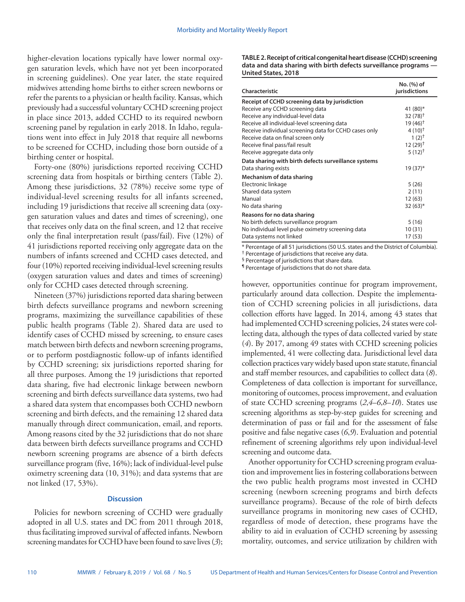higher-elevation locations typically have lower normal oxygen saturation levels, which have not yet been incorporated in screening guidelines). One year later, the state required midwives attending home births to either screen newborns or refer the parents to a physician or health facility. Kansas, which previously had a successful voluntary CCHD screening project in place since 2013, added CCHD to its required newborn screening panel by regulation in early 2018. In Idaho, regulations went into effect in July 2018 that require all newborns to be screened for CCHD, including those born outside of a birthing center or hospital.

Forty-one (80%) jurisdictions reported receiving CCHD screening data from hospitals or birthing centers (Table 2). Among these jurisdictions, 32 (78%) receive some type of individual-level screening results for all infants screened, including 19 jurisdictions that receive all screening data (oxygen saturation values and dates and times of screening), one that receives only data on the final screen, and 12 that receive only the final interpretation result (pass/fail). Five (12%) of 41 jurisdictions reported receiving only aggregate data on the numbers of infants screened and CCHD cases detected, and four (10%) reported receiving individual-level screening results (oxygen saturation values and dates and times of screening) only for CCHD cases detected through screening.

Nineteen (37%) jurisdictions reported data sharing between birth defects surveillance programs and newborn screening programs, maximizing the surveillance capabilities of these public health programs (Table 2). Shared data are used to identify cases of CCHD missed by screening, to ensure cases match between birth defects and newborn screening programs, or to perform postdiagnostic follow-up of infants identified by CCHD screening; six jurisdictions reported sharing for all three purposes. Among the 19 jurisdictions that reported data sharing, five had electronic linkage between newborn screening and birth defects surveillance data systems, two had a shared data system that encompasses both CCHD newborn screening and birth defects, and the remaining 12 shared data manually through direct communication, email, and reports. Among reasons cited by the 32 jurisdictions that do not share data between birth defects surveillance programs and CCHD newborn screening programs are absence of a birth defects surveillance program (five, 16%); lack of individual-level pulse oximetry screening data (10, 31%); and data systems that are not linked (17, 53%).

### **Discussion**

Policies for newborn screening of CCHD were gradually adopted in all U.S. states and DC from 2011 through 2018, thus facilitating improved survival of affected infants. Newborn screening mandates for CCHD have been found to save lives (*3*); **TABLE 2. Receipt of critical congenital heart disease (CCHD) screening data and data sharing with birth defects surveillance programs — United States, 2018**

| Characteristic                                        | No. (%) of<br>jurisdictions |
|-------------------------------------------------------|-----------------------------|
| Receipt of CCHD screening data by jurisdiction        |                             |
| Receive any CCHD screening data                       | 41 (80)*                    |
| Receive any individual-level data                     | $32(78)$ <sup>†</sup>       |
| Receive all individual-level screening data           | 19 (46) <sup>†</sup>        |
| Receive individual screening data for CCHD cases only | $4(10)^{+}$                 |
| Receive data on final screen only                     | $1(2)^{+}$                  |
| Receive final pass/fail result                        | $12(29)^{+}$                |
| Receive aggregate data only                           | $5(12)^{+}$                 |
| Data sharing with birth defects surveillance systems  |                             |
| Data sharing exists                                   | 19 (37)*                    |
| Mechanism of data sharing                             |                             |
| Electronic linkage                                    | 5 (26)                      |
| Shared data system                                    | 2(11)                       |
| Manual                                                | 12(63)                      |
| No data sharing                                       | $32(63)*$                   |
| Reasons for no data sharing                           |                             |
| No birth defects surveillance program                 | 5 (16)                      |
| No individual level pulse oximetry screening data     | 10 (31)                     |
| Data systems not linked                               | 17 (53)                     |

\* Percentage of all 51 jurisdictions (50 U.S. states and the District of Columbia).

† Percentage of jurisdictions that receive any data.

§ Percentage of jurisdictions that share data.

¶ Percentage of jurisdictions that do not share data.

however, opportunities continue for program improvement, particularly around data collection. Despite the implementation of CCHD screening policies in all jurisdictions, data collection efforts have lagged. In 2014, among 43 states that had implemented CCHD screening policies, 24 states were collecting data, although the types of data collected varied by state (*4*). By 2017, among 49 states with CCHD screening policies implemented, 41 were collecting data. Jurisdictional level data collection practices vary widely based upon state statute, financial and staff member resources, and capabilities to collect data (*8*). Completeness of data collection is important for surveillance, monitoring of outcomes, process improvement, and evaluation of state CCHD screening programs (*2*,*4*–*6*,*8*–*10*). States use screening algorithms as step-by-step guides for screening and determination of pass or fail and for the assessment of false positive and false negative cases (*6*,*9*). Evaluation and potential refinement of screening algorithms rely upon individual-level screening and outcome data.

Another opportunity for CCHD screening program evaluation and improvement lies in fostering collaborations between the two public health programs most invested in CCHD screening (newborn screening programs and birth defects surveillance programs). Because of the role of birth defects surveillance programs in monitoring new cases of CCHD, regardless of mode of detection, these programs have the ability to aid in evaluation of CCHD screening by assessing mortality, outcomes, and service utilization by children with